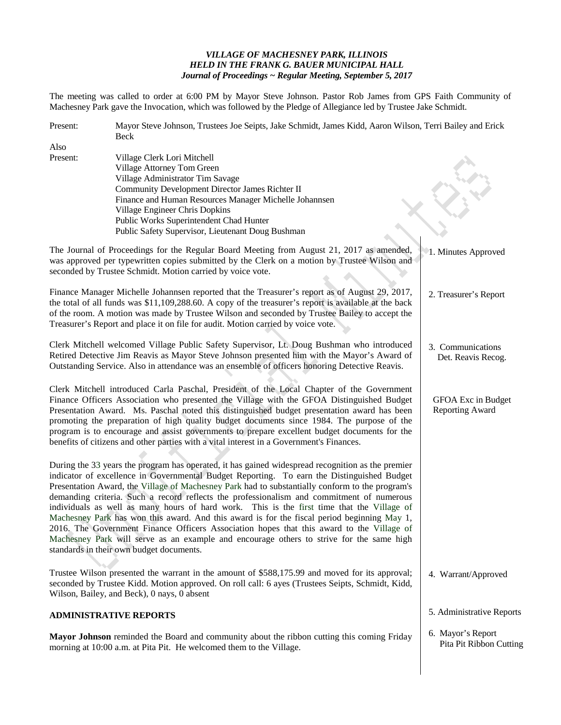## *VILLAGE OF MACHESNEY PARK, ILLINOIS HELD IN THE FRANK G. BAUER MUNICIPAL HALL Journal of Proceedings ~ Regular Meeting, September 5, 2017*

The meeting was called to order at 6:00 PM by Mayor Steve Johnson. Pastor Rob James from GPS Faith Community of Machesney Park gave the Invocation, which was followed by the Pledge of Allegiance led by Trustee Jake Schmidt.

| Present: | Mayor Steve Johnson, Trustees Joe Seipts, Jake Schmidt, James Kidd, Aaron Wilson, Terri Bailey and Erick<br>Beck |                                  |  |
|----------|------------------------------------------------------------------------------------------------------------------|----------------------------------|--|
| Also     |                                                                                                                  |                                  |  |
| Present: | Village Clerk Lori Mitchell                                                                                      |                                  |  |
|          | Village Attorney Tom Green                                                                                       |                                  |  |
|          | Village Administrator Tim Savage                                                                                 |                                  |  |
|          | Community Development Director James Richter II                                                                  |                                  |  |
|          | Finance and Human Resources Manager Michelle Johannsen                                                           |                                  |  |
|          | Village Engineer Chris Dopkins                                                                                   |                                  |  |
|          | Public Works Superintendent Chad Hunter                                                                          |                                  |  |
|          | Public Safety Supervisor, Lieutenant Doug Bushman                                                                |                                  |  |
|          | The Journal of Proceedings for the Regular Board Meeting from August 21, 2017 as amended,                        | <sup>2</sup> 1. Minutes Approved |  |
|          | was approved per typewritten copies submitted by the Clerk on a motion by Trustee Wilson and                     |                                  |  |
|          | seconded by Trustee Schmidt. Motion carried by voice vote.                                                       |                                  |  |
|          | Finance Manager Michelle Johannsen reported that the Treasurer's report as of August 29, 2017,                   | 2. Treasurer's Report            |  |
|          | the total of all funds was \$11,109,288.60. A copy of the treasurer's report is available at the back            |                                  |  |
|          | of the room. A motion was made by Trustee Wilson and seconded by Trustee Bailey to accept the                    |                                  |  |
|          | Treasurer's Report and place it on file for audit. Motion carried by voice vote.                                 |                                  |  |
|          | Clerk Mitchell welcomed Village Public Safety Supervisor, Lt. Doug Bushman who introduced                        | 3. Communications                |  |
|          | Retired Detective Jim Reavis as Mayor Steve Johnson presented him with the Mayor's Award of                      | Det. Reavis Recog.               |  |
|          | Outstanding Service. Also in attendance was an ensemble of officers honoring Detective Reavis.                   |                                  |  |
|          | Clerk Mitchell introduced Carla Paschal, President of the Local Chapter of the Government                        |                                  |  |
|          | Finance Officers Association who presented the Village with the GFOA Distinguished Budget                        | GFOA Exc in Budget               |  |
|          | Presentation Award. Ms. Paschal noted this distinguished budget presentation award has been                      | Reporting Award                  |  |
|          | promoting the preparation of high quality budget documents since 1984. The purpose of the                        |                                  |  |
|          | program is to encourage and assist governments to prepare excellent budget documents for the                     |                                  |  |
|          | benefits of citizens and other parties with a vital interest in a Government's Finances.                         |                                  |  |
|          |                                                                                                                  |                                  |  |
|          | During the 33 years the program has operated, it has gained widespread recognition as the premier                |                                  |  |
|          | indicator of excellence in Governmental Budget Reporting. To earn the Distinguished Budget                       |                                  |  |
|          | Presentation Award, the Village of Machesney Park had to substantially conform to the program's                  |                                  |  |
|          | demanding criteria. Such a record reflects the professionalism and commitment of numerous                        |                                  |  |
|          | individuals as well as many hours of hard work. This is the first time that the Village of                       |                                  |  |
|          | Machesney Park has won this award. And this award is for the fiscal period beginning May 1,                      |                                  |  |
|          | 2016. The Government Finance Officers Association hopes that this award to the Village of                        |                                  |  |
|          | Machesney Park will serve as an example and encourage others to strive for the same high                         |                                  |  |
|          | standards in their own budget documents.                                                                         |                                  |  |
|          |                                                                                                                  |                                  |  |
|          | Trustee Wilson presented the warrant in the amount of \$588,175.99 and moved for its approval;                   | 4. Warrant/Approved              |  |
|          | seconded by Trustee Kidd. Motion approved. On roll call: 6 ayes (Trustees Seipts, Schmidt, Kidd,                 |                                  |  |
|          | Wilson, Bailey, and Beck), 0 nays, 0 absent                                                                      |                                  |  |
|          | <b>ADMINISTRATIVE REPORTS</b>                                                                                    | 5. Administrative Reports        |  |
|          | Mayor Johnson reminded the Board and community about the ribbon cutting this coming Friday                       | 6. Mayor's Report                |  |
|          | morning at 10:00 a.m. at Pita Pit. He welcomed them to the Village.                                              | Pita Pit Ribbon Cutting          |  |
|          |                                                                                                                  |                                  |  |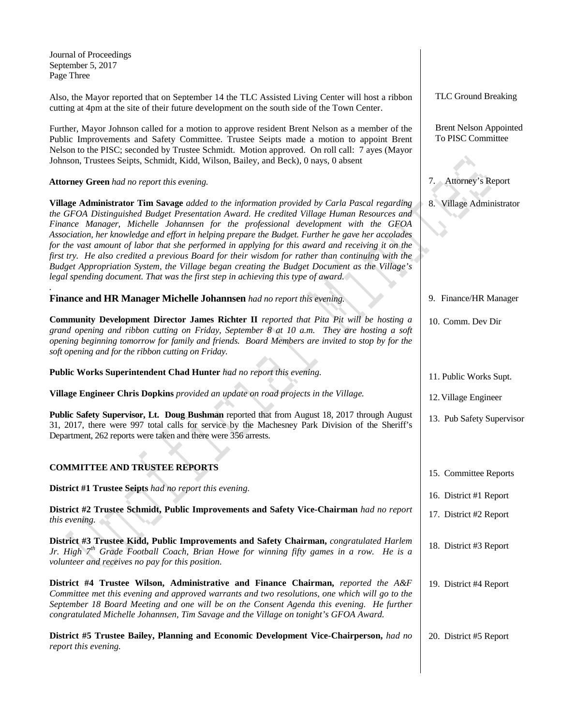Journal of Proceedings September 5, 2017 Page Three

*.*

Also, the Mayor reported that on September 14 the TLC Assisted Living Center will host a ribbon cutting at 4pm at the site of their future development on the south side of the Town Center.

Further, Mayor Johnson called for a motion to approve resident Brent Nelson as a member of the Public Improvements and Safety Committee. Trustee Seipts made a motion to appoint Brent Nelson to the PISC; seconded by Trustee Schmidt. Motion approved. On roll call: 7 ayes (Mayor Johnson, Trustees Seipts, Schmidt, Kidd, Wilson, Bailey, and Beck), 0 nays, 0 absent

**Attorney Green** *had no report this evening.*

**Village Administrator Tim Savage** *added to the information provided by Carla Pascal regarding the GFOA Distinguished Budget Presentation Award. He credited Village Human Resources and Finance Manager, Michelle Johannsen for the professional development with the GFOA Association, her knowledge and effort in helping prepare the Budget. Further he gave her accolades*  for the vast amount of labor that she performed in applying for this award and receiving it on the *first try. He also credited a previous Board for their wisdom for rather than continuing with the Budget Appropriation System, the Village began creating the Budget Document as the Village's legal spending document. That was the first step in achieving this type of award.*

**Finance and HR Manager Michelle Johannsen** *had no report this evening.*

**Community Development Director James Richter II** *reported that Pita Pit will be hosting a grand opening and ribbon cutting on Friday, September 8 at 10 a.m. They are hosting a soft opening beginning tomorrow for family and friends. Board Members are invited to stop by for the soft opening and for the ribbon cutting on Friday.*

**Public Works Superintendent Chad Hunter** *had no report this evening.*

**Village Engineer Chris Dopkins** *provided an update on road projects in the Village.*

**Public Safety Supervisor, Lt. Doug Bushman** reported that from August 18, 2017 through August 31, 2017, there were 997 total calls for service by the Machesney Park Division of the Sheriff's Department, 262 reports were taken and there were 356 arrests.

## **COMMITTEE AND TRUSTEE REPORTS**

**District #1 Trustee Seipts** *had no report this evening.*

**District #2 Trustee Schmidt, Public Improvements and Safety Vice-Chairman** *had no report this evening.*

**District #3 Trustee Kidd, Public Improvements and Safety Chairman,** *congratulated Harlem Jr. High 7th Grade Football Coach, Brian Howe for winning fifty games in a row. He is a volunteer and receives no pay for this position.*

**District #4 Trustee Wilson, Administrative and Finance Chairman,** *reported the A&F Committee met this evening and approved warrants and two resolutions, one which will go to the September 18 Board Meeting and one will be on the Consent Agenda this evening. He further congratulated Michelle Johannsen, Tim Savage and the Village on tonight's GFOA Award.*

**District #5 Trustee Bailey, Planning and Economic Development Vice-Chairperson,** *had no report this evening.* 20. District #5 Report

TLC Ground Breaking

 Brent Nelson Appointed To PISC Committee

7. Attorney's Report

8. Village Administrator

9. Finance/HR Manager

- 10. Comm. Dev Dir
- 11. Public Works Supt.
- 12.Village Engineer
- 13. Pub Safety Supervisor
- 15. Committee Reports
- 16. District #1 Report
- 17. District #2 Report
- 18. District #3 Report
- 19. District #4 Report
	-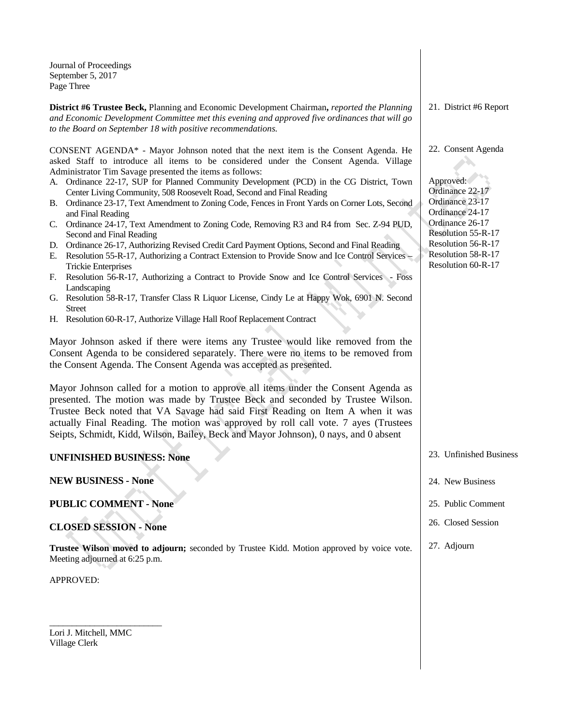Journal of Proceedings September 5, 2017 Page Three

**District #6 Trustee Beck,** Planning and Economic Development Chairman**,** *reported the Planning and Economic Development Committee met this evening and approved five ordinances that will go to the Board on September 18 with positive recommendations.*

CONSENT AGENDA\* - Mayor Johnson noted that the next item is the Consent Agenda. He asked Staff to introduce all items to be considered under the Consent Agenda. Village Administrator Tim Savage presented the items as follows:

- A. Ordinance 22-17, SUP for Planned Community Development (PCD) in the CG District, Town Center Living Community, 508 Roosevelt Road, Second and Final Reading
- B. Ordinance 23-17, Text Amendment to Zoning Code, Fences in Front Yards on Corner Lots, Second and Final Reading
- C. Ordinance 24-17, Text Amendment to Zoning Code, Removing R3 and R4 from Sec. Z-94 PUD, Second and Final Reading
- D. Ordinance 26-17, Authorizing Revised Credit Card Payment Options, Second and Final Reading
- E. Resolution 55-R-17, Authorizing a Contract Extension to Provide Snow and Ice Control Services Trickie Enterprises
- F. Resolution 56-R-17, Authorizing a Contract to Provide Snow and Ice Control Services Foss Landscaping
- G. Resolution 58-R-17, Transfer Class R Liquor License, Cindy Le at Happy Wok, 6901 N. Second Street
- H. Resolution 60-R-17, Authorize Village Hall Roof Replacement Contract

Mayor Johnson asked if there were items any Trustee would like removed from the Consent Agenda to be considered separately. There were no items to be removed from the Consent Agenda. The Consent Agenda was accepted as presented.

Mayor Johnson called for a motion to approve all items under the Consent Agenda as presented. The motion was made by Trustee Beck and seconded by Trustee Wilson. Trustee Beck noted that VA Savage had said First Reading on Item A when it was actually Final Reading. The motion was approved by roll call vote. 7 ayes (Trustees Seipts, Schmidt, Kidd, Wilson, Bailey, Beck and Mayor Johnson), 0 nays, and 0 absent

| <b>UNFINISHED BUSINESS: None</b>                                                                                            | 23. Unfinished Business |
|-----------------------------------------------------------------------------------------------------------------------------|-------------------------|
| <b>NEW BUSINESS - None</b>                                                                                                  | 24. New Business        |
| <b>PUBLIC COMMENT - None</b>                                                                                                | 25. Public Comment      |
| <b>CLOSED SESSION - None</b>                                                                                                | 26. Closed Session      |
| Trustee Wilson moved to adjourn; seconded by Trustee Kidd. Motion approved by voice vote.<br>Meeting adjourned at 6:25 p.m. | 27. Adjourn             |
| APPROVED:                                                                                                                   |                         |

Lori J. Mitchell, MMC Village Clerk

\_\_\_\_\_\_\_\_\_\_\_\_\_\_\_\_\_\_\_\_\_\_\_\_\_

21. District #6 Report

22. Consent Agenda

Approved: Ordinance 22-17 Ordinance 23-17 Ordinance 24-17 Ordinance 26-17 Resolution 55-R-17 Resolution 56-R-17 Resolution 58-R-17 Resolution 60-R-17

23. Unfinished Business